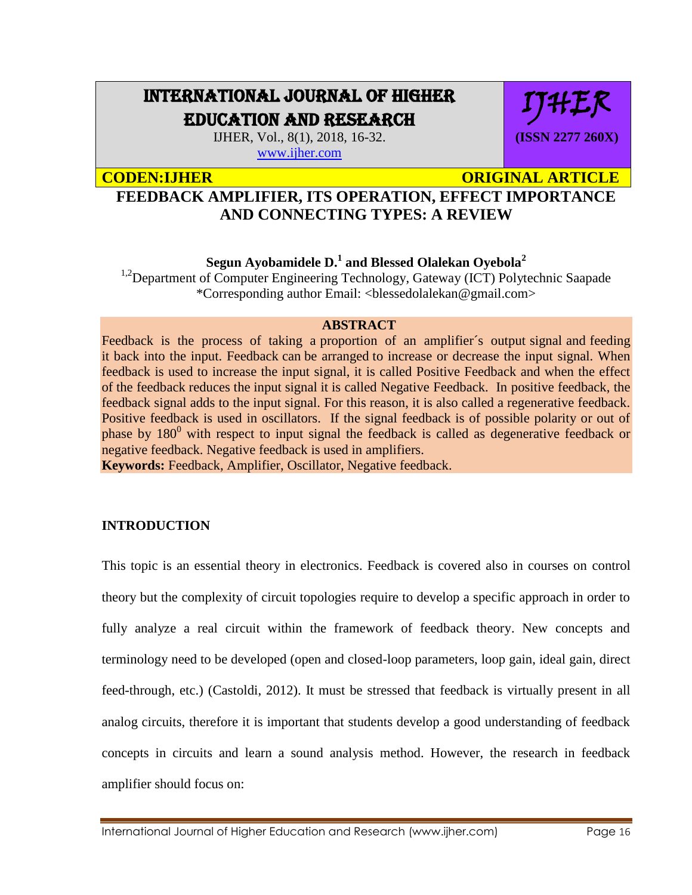# INTERNATIONAL JOURNAL OF HIGHER EDUCATION AND RESEARCH

IJHER, Vol., 8(1), 2018, 16-32. [www.ijher.com](http://www.ijher.com/)

**CODEN:IJHER CODEN:IJHER** ORIGINAL ARTICLE

IJHER

**(ISSN 2277 260X)**

# **FEEDBACK AMPLIFIER, ITS OPERATION, EFFECT IMPORTANCE AND CONNECTING TYPES: A REVIEW**

**Segun Ayobamidele D. 1 and Blessed Olalekan Oyebola<sup>2</sup>**

<sup>1,2</sup>Department of Computer Engineering Technology, Gateway (ICT) Polytechnic Saapade \*Corresponding author Email: <blessedolalekan@gmail.com>

# **ABSTRACT**

Feedback is the process of taking a proportion of an amplifier's output signal and feeding it back into the input. Feedback can be arranged to increase or decrease the input signal. When feedback is used to increase the input signal, it is called Positive Feedback and when the effect of the feedback reduces the input signal it is called Negative Feedback. In positive feedback, the feedback signal adds to the input signal. For this reason, it is also called a regenerative feedback. Positive feedback is used in oscillators. If the signal feedback is of possible polarity or out of phase by  $180^{\circ}$  with respect to input signal the feedback is called as degenerative feedback or negative feedback. Negative feedback is used in amplifiers.

**Keywords:** Feedback, Amplifier, Oscillator, Negative feedback.

# **INTRODUCTION**

This topic is an essential theory in electronics. Feedback is covered also in courses on control theory but the complexity of circuit topologies require to develop a specific approach in order to fully analyze a real circuit within the framework of feedback theory. New concepts and terminology need to be developed (open and closed-loop parameters, loop gain, ideal gain, direct feed-through, etc.) (Castoldi, 2012). It must be stressed that feedback is virtually present in all analog circuits, therefore it is important that students develop a good understanding of feedback concepts in circuits and learn a sound analysis method. However, the research in feedback amplifier should focus on: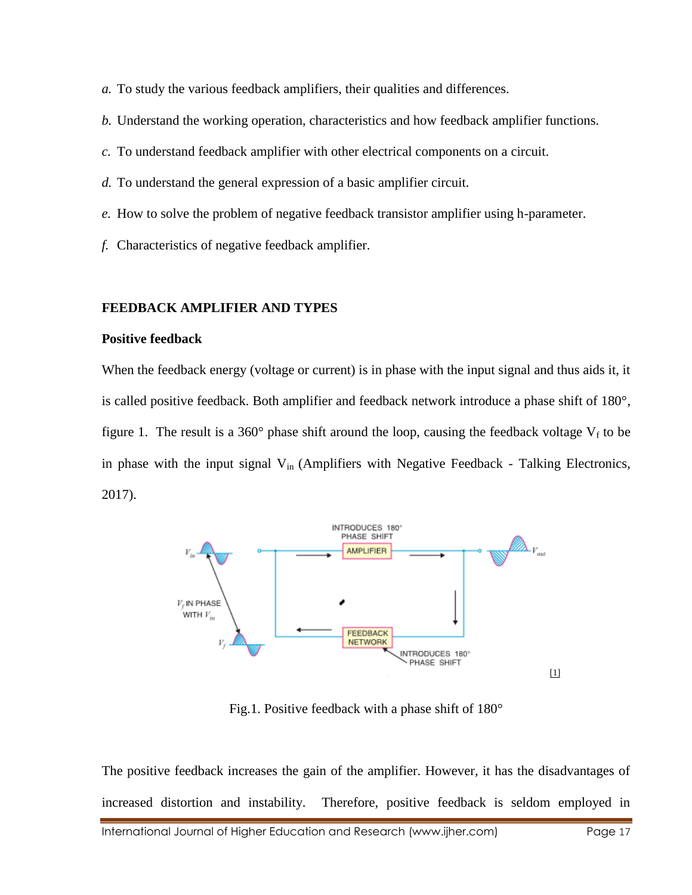- *a.* To study the various feedback amplifiers, their qualities and differences.
- *b.* Understand the working operation, characteristics and how feedback amplifier functions.
- *c.* To understand feedback amplifier with other electrical components on a circuit.
- *d.* To understand the general expression of a basic amplifier circuit.
- *e.* How to solve the problem of negative feedback transistor amplifier using h-parameter.
- *f.* Characteristics of negative feedback amplifier.

#### **FEEDBACK AMPLIFIER AND TYPES**

#### **Positive feedback**

When the feedback energy (voltage or current) is in phase with the input signal and thus aids it, it is called positive feedback. Both amplifier and feedback network introduce a phase shift of 180°, figure 1. The result is a 360 $^{\circ}$  phase shift around the loop, causing the feedback voltage  $V_f$  to be in phase with the input signal  $V_{in}$  (Amplifiers with Negative Feedback - Talking Electronics, 2017).



Fig.1. Positive feedback with a phase shift of 180°

International Journal of Higher Education and Research (www.ijher.com) Page 17 The positive feedback increases the gain of the amplifier. However, it has the disadvantages of increased distortion and instability. Therefore, positive feedback is seldom employed in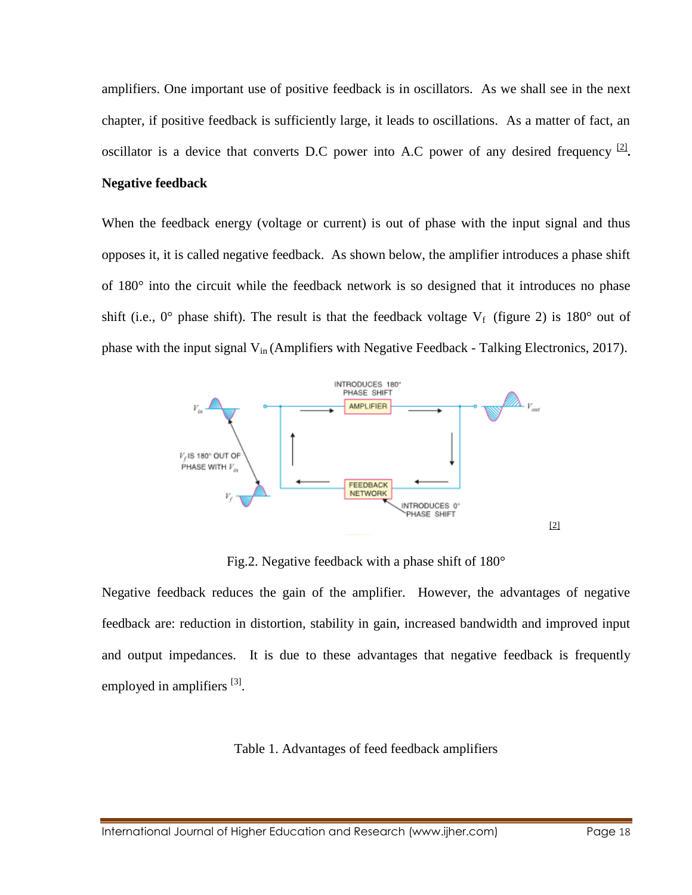amplifiers. One important use of positive feedback is in oscillators. As we shall see in the next chapter, if positive feedback is sufficiently large, it leads to oscillations. As a matter of fact, an oscillator is a device that converts D.C power into A.C power of any desired frequency  $^{[2]}$ .

# **Negative feedback**

When the feedback energy (voltage or current) is out of phase with the input signal and thus opposes it, it is called negative feedback. As shown below, the amplifier introduces a phase shift of 180° into the circuit while the feedback network is so designed that it introduces no phase shift (i.e.,  $0^{\circ}$  phase shift). The result is that the feedback voltage  $V_f$  (figure 2) is 180° out of phase with the input signal  $V_{in}$  (Amplifiers with Negative Feedback - Talking Electronics, 2017).



Fig.2. Negative feedback with a phase shift of 180°

Negative feedback reduces the gain of the amplifier. However, the advantages of negative feedback are: reduction in distortion, stability in gain, increased bandwidth and improved input and output impedances. It is due to these advantages that negative feedback is frequently employed in amplifiers [3].

## Table 1. Advantages of feed feedback amplifiers

International Journal of Higher Education and Research (www.ijher.com) Page 18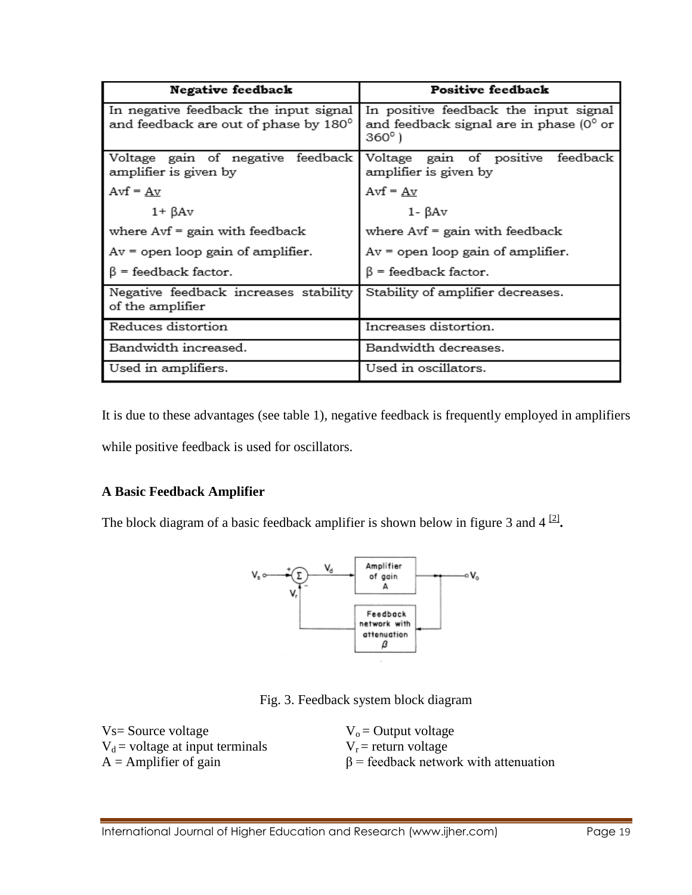| Negative feedback                                                              | Positive feedback                                                                                  |  |  |
|--------------------------------------------------------------------------------|----------------------------------------------------------------------------------------------------|--|--|
| In negative feedback the input signal<br>and feedback are out of phase by 180° | In positive feedback the input signal<br>and feedback signal are in phase $(0^{\circ}$ or<br>360°) |  |  |
| Voltage gain of negative feedback<br>amplifier is given by                     | Voltage gain of positive<br>feedback<br>amplifier is given by                                      |  |  |
| Avf = $\underline{Av}$                                                         | $Avf = Av$                                                                                         |  |  |
| $1 + \beta Av$                                                                 | $1 - \beta Av$                                                                                     |  |  |
| where $Avf = gain$ with feedback                                               | where $Avf = gain$ with feedback                                                                   |  |  |
| $Av = open loop gain of amplitude.$                                            | $Av = open loop gain of amplifier.$                                                                |  |  |
| $\beta$ = feedback factor.                                                     | $\beta$ = feedback factor.                                                                         |  |  |
| Negative feedback increases stability<br>of the amplifier                      | Stability of amplifier decreases.                                                                  |  |  |
| Reduces distortion                                                             | Increases distortion.                                                                              |  |  |
| Bandwidth increased.                                                           | Bandwidth decreases.                                                                               |  |  |
| Used in amplifiers.                                                            | Used in oscillators.                                                                               |  |  |

It is due to these advantages (see table 1), negative feedback is frequently employed in amplifiers while positive feedback is used for oscillators.

# **A Basic Feedback Amplifier**

The block diagram of a basic feedback amplifier is shown below in figure 3 and  $4^{2}$ .



Fig. 3. Feedback system block diagram

| $Vs = Source voltage$              | $V_0$ = Output voltage                      |
|------------------------------------|---------------------------------------------|
| $V_d$ = voltage at input terminals | $V_r$ = return voltage                      |
| $A =$ Amplifier of gain            | $\beta$ = feedback network with attenuation |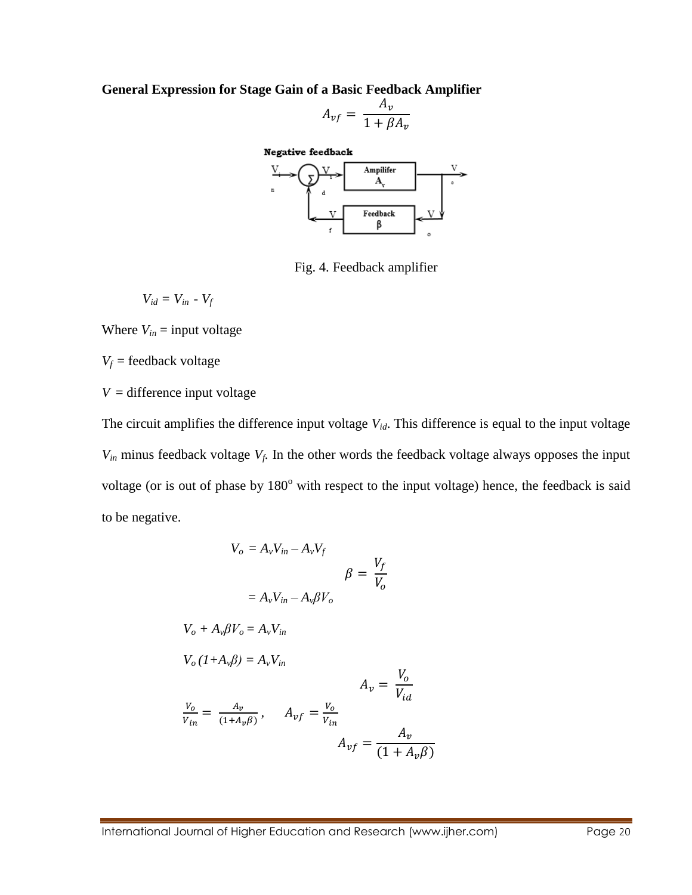**General Expression for Stage Gain of a Basic Feedback Amplifier**

$$
A_{vf} = \frac{A_v}{1 + \beta A_v}
$$

Negative feedback Ampilifer A, Feedback β

Fig. 4. Feedback amplifier

$$
V_{id} = V_{in} - V_f
$$

Where  $V_{in}$  = input voltage

 $V_f$  = feedback voltage

 $V =$  difference input voltage

The circuit amplifies the difference input voltage *Vid*. This difference is equal to the input voltage  $V_{in}$  minus feedback voltage  $V_f$ . In the other words the feedback voltage always opposes the input voltage (or is out of phase by 180° with respect to the input voltage) hence, the feedback is said to be negative.

$$
V_o = A_v V_{in} - A_v V_f
$$
  
\n
$$
\beta = \frac{V_f}{V_o}
$$
  
\n
$$
V_o + A_v \beta V_o = A_v V_{in}
$$
  
\n
$$
V_o (1 + A_v \beta) = A_v V_{in}
$$
  
\n
$$
\frac{V_o}{V_{in}} = \frac{A_v}{(1 + A_v \beta)}, \qquad A_{vf} = \frac{V_o}{V_{in}}
$$
  
\n
$$
A_{vf} = \frac{A_v}{(1 + A_v \beta)}
$$

International Journal of Higher Education and Research (www.ijher.com) Page 20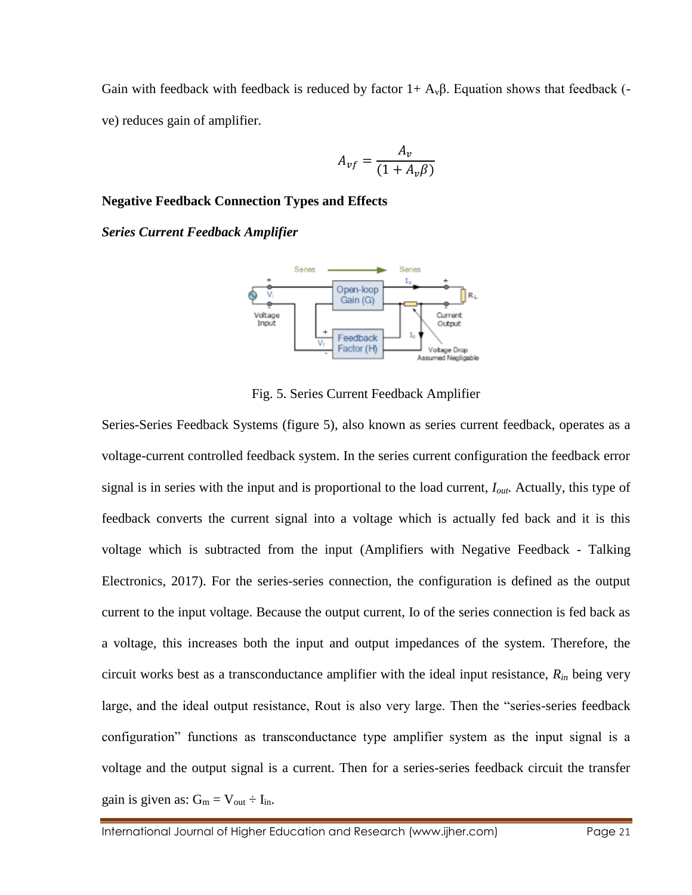Gain with feedback with feedback is reduced by factor  $1 + A<sub>v</sub>β$ . Equation shows that feedback (ve) reduces gain of amplifier.

$$
A_{vf} = \frac{A_v}{(1 + A_v \beta)}
$$

## **Negative Feedback Connection Types and Effects**

*Series Current Feedback Amplifier*



Fig. 5. Series Current Feedback Amplifier

Series-Series Feedback Systems (figure 5), also known as series current feedback, operates as a voltage-current controlled feedback system. In the series current configuration the feedback error signal is in series with the input and is proportional to the load current, *Iout.* Actually, this type of feedback converts the current signal into a voltage which is actually fed back and it is this voltage which is subtracted from the input (Amplifiers with Negative Feedback - Talking Electronics, 2017). For the series-series connection, the configuration is defined as the output current to the input voltage. Because the output current, Io of the series connection is fed back as a voltage, this increases both the input and output impedances of the system. Therefore, the circuit works best as a transconductance amplifier with the ideal input resistance, *Rin* being very large, and the ideal output resistance, Rout is also very large. Then the "series-series feedback configuration" functions as transconductance type amplifier system as the input signal is a voltage and the output signal is a current. Then for a series-series feedback circuit the transfer gain is given as:  $G_m = V_{out} \div I_{in}$ .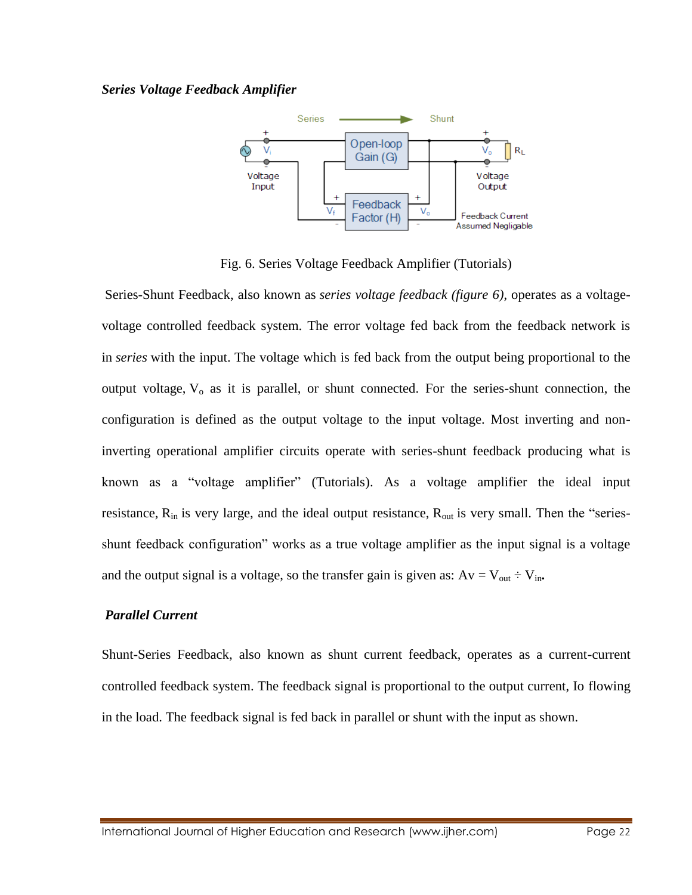#### *Series Voltage Feedback Amplifier*



Fig. 6. Series Voltage Feedback Amplifier (Tutorials)

Series-Shunt Feedback, also known as *series voltage feedback (figure 6)*, operates as a voltagevoltage controlled feedback system. The error voltage fed back from the feedback network is in *series* with the input. The voltage which is fed back from the output being proportional to the output voltage, V<sub>o</sub> as it is parallel, or shunt connected. For the series-shunt connection, the configuration is defined as the output voltage to the input voltage. Most inverting and noninverting operational amplifier circuits operate with series-shunt feedback producing what is known as a "voltage amplifier" (Tutorials). As a voltage amplifier the ideal input resistance, R<sub>in</sub> is very large, and the ideal output resistance, R<sub>out</sub> is very small. Then the "seriesshunt feedback configuration" works as a true voltage amplifier as the input signal is a voltage and the output signal is a voltage, so the transfer gain is given as:  $Av = V_{out} \div V_{in}$ .

## *Parallel Current*

Shunt-Series Feedback, also known as shunt current feedback, operates as a current-current controlled feedback system. The feedback signal is proportional to the output current, Io flowing in the load. The feedback signal is fed back in parallel or shunt with the input as shown.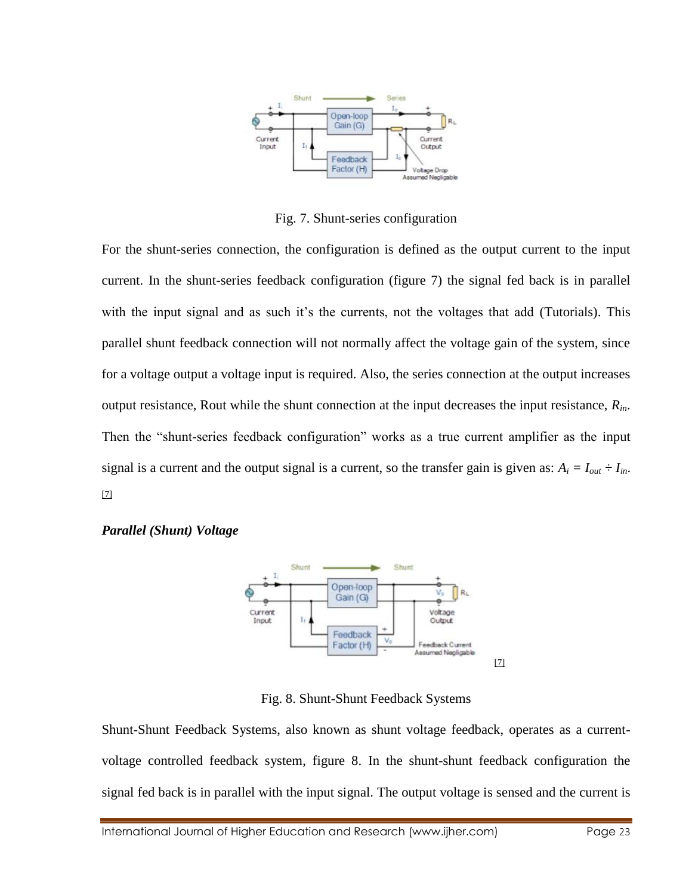

Fig. 7. Shunt-series configuration

For the shunt-series connection, the configuration is defined as the output current to the input current. In the shunt-series feedback configuration (figure 7) the signal fed back is in parallel with the input signal and as such it's the currents, not the voltages that add (Tutorials). This parallel shunt feedback connection will not normally affect the voltage gain of the system, since for a voltage output a voltage input is required. Also, the series connection at the output increases output resistance, Rout while the shunt connection at the input decreases the input resistance, *Rin*. Then the "shunt-series feedback configuration" works as a true current amplifier as the input signal is a current and the output signal is a current, so the transfer gain is given as:  $A_i = I_{out} \div I_{in}$ . [7]



## *Parallel (Shunt) Voltage*

Fig. 8. Shunt-Shunt Feedback Systems

Shunt-Shunt Feedback Systems, also known as shunt voltage feedback, operates as a currentvoltage controlled feedback system, figure 8. In the shunt-shunt feedback configuration the signal fed back is in parallel with the input signal. The output voltage is sensed and the current is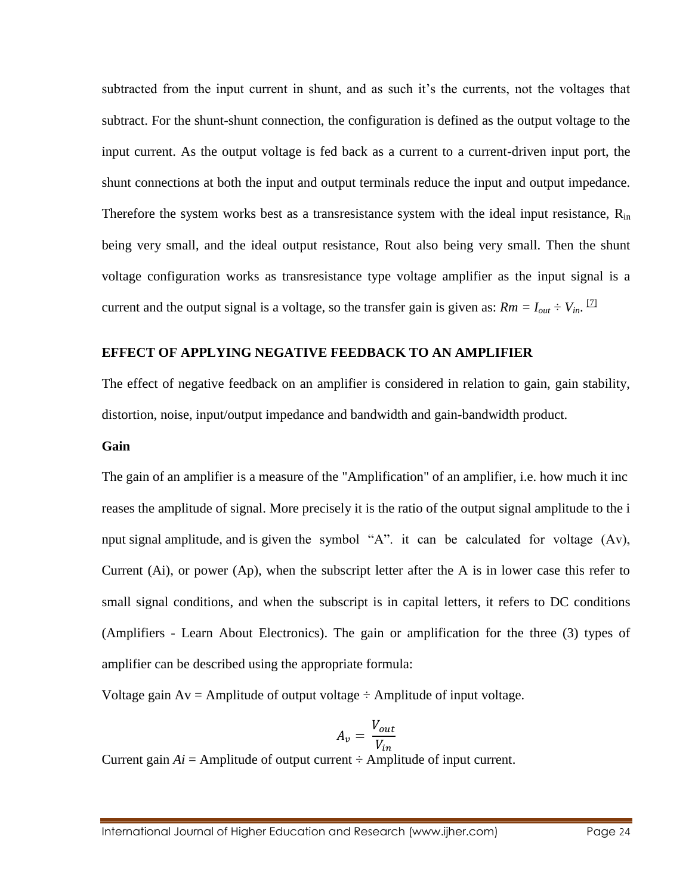subtracted from the input current in shunt, and as such it's the currents, not the voltages that subtract. For the shunt-shunt connection, the configuration is defined as the output voltage to the input current. As the output voltage is fed back as a current to a current-driven input port, the shunt connections at both the input and output terminals reduce the input and output impedance. Therefore the system works best as a transresistance system with the ideal input resistance,  $R_{in}$ being very small, and the ideal output resistance, Rout also being very small. Then the shunt voltage configuration works as transresistance type voltage amplifier as the input signal is a current and the output signal is a voltage, so the transfer gain is given as:  $Rm = I_{out} \div V_{in}$ . <sup>[2]</sup>

#### **EFFECT OF APPLYING NEGATIVE FEEDBACK TO AN AMPLIFIER**

The effect of negative feedback on an amplifier is considered in relation to gain, gain stability, distortion, noise, input/output impedance and bandwidth and gain-bandwidth product.

#### **Gain**

The gain of an amplifier is a measure of the "Amplification" of an amplifier, i.e. how much it inc reases the amplitude of signal. More precisely it is the ratio of the output signal amplitude to the i nput signal amplitude, and is given the symbol "A". it can be calculated for voltage (Av), Current (Ai), or power (Ap), when the subscript letter after the A is in lower case this refer to small signal conditions, and when the subscript is in capital letters, it refers to DC conditions (Amplifiers - Learn About Electronics). The gain or amplification for the three (3) types of amplifier can be described using the appropriate formula:

Voltage gain  $Av =$  Amplitude of output voltage  $\div$  Amplitude of input voltage.

$$
A_v = \frac{V_{out}}{V_{in}}
$$

Current gain  $Ai =$  Amplitude of output current  $\div$  Amplitude of input current.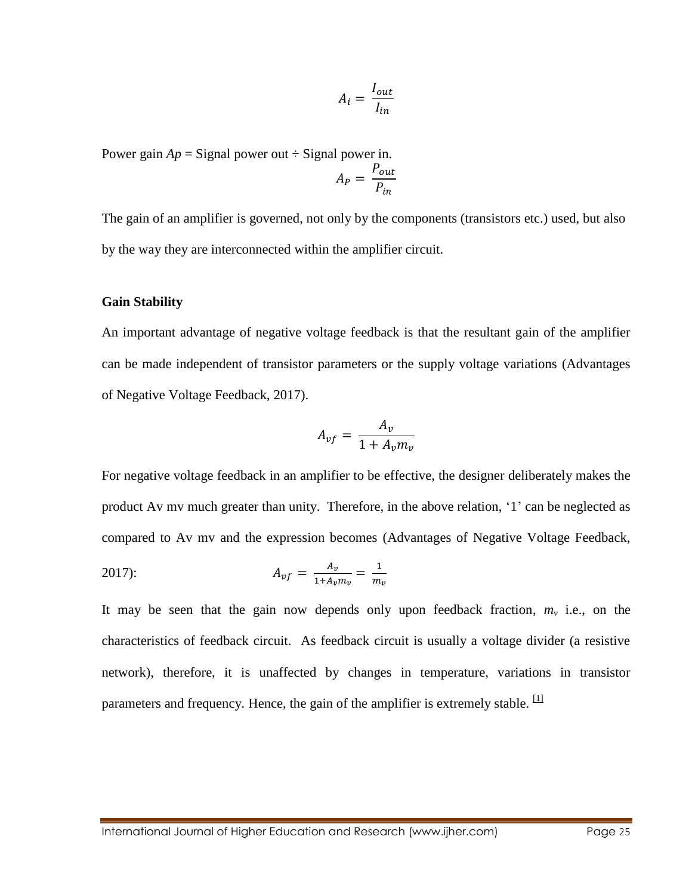$$
A_i = \frac{I_{out}}{I_{in}}
$$

Power gain  $Ap =$  Signal power out  $\div$  Signal power in.

$$
A_P = \frac{P_{out}}{P_{in}}
$$

The gain of an amplifier is governed, not only by the components (transistors etc.) used, but also by the way they are interconnected within the amplifier circuit.

#### **Gain Stability**

An important advantage of negative voltage feedback is that the resultant gain of the amplifier can be made independent of transistor parameters or the supply voltage variations (Advantages of Negative Voltage Feedback, 2017).

$$
A_{vf} = \frac{A_v}{1 + A_v m_v}
$$

For negative voltage feedback in an amplifier to be effective, the designer deliberately makes the product Av mv much greater than unity. Therefore, in the above relation, '1' can be neglected as compared to Av mv and the expression becomes (Advantages of Negative Voltage Feedback,

2017): 
$$
A_{vf} = \frac{A_v}{1 + A_v m_v} = \frac{1}{m_v}
$$

It may be seen that the gain now depends only upon feedback fraction,  $m<sub>v</sub>$  i.e., on the characteristics of feedback circuit. As feedback circuit is usually a voltage divider (a resistive network), therefore, it is unaffected by changes in temperature, variations in transistor parameters and frequency. Hence, the gain of the amplifier is extremely stable.  $[1]$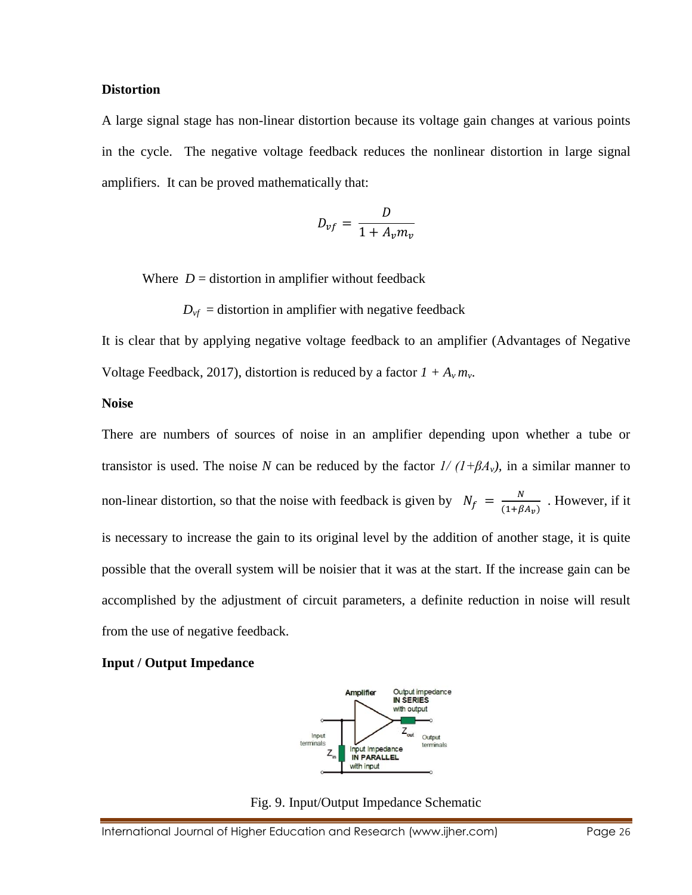#### **Distortion**

A large signal stage has non-linear distortion because its voltage gain changes at various points in the cycle. The negative voltage feedback reduces the nonlinear distortion in large signal amplifiers. It can be proved mathematically that:

$$
D_{vf} = \frac{D}{1 + A_v m_v}
$$

Where  $D =$  distortion in amplifier without feedback

 $D_{\nu f}$  = distortion in amplifier with negative feedback

It is clear that by applying negative voltage feedback to an amplifier (Advantages of Negative Voltage Feedback, 2017), distortion is reduced by a factor  $1 + A_v m_v$ .

#### **Noise**

There are numbers of sources of noise in an amplifier depending upon whether a tube or transistor is used. The noise *N* can be reduced by the factor  $1/(1+\beta A_v)$ , in a similar manner to non-linear distortion, so that the noise with feedback is given by  $N_f = \frac{N}{(1 + R)^2}$  $\frac{N}{(1+\beta A_v)}$ . However, if it is necessary to increase the gain to its original level by the addition of another stage, it is quite possible that the overall system will be noisier that it was at the start. If the increase gain can be accomplished by the adjustment of circuit parameters, a definite reduction in noise will result from the use of negative feedback.

#### **Input / Output Impedance**



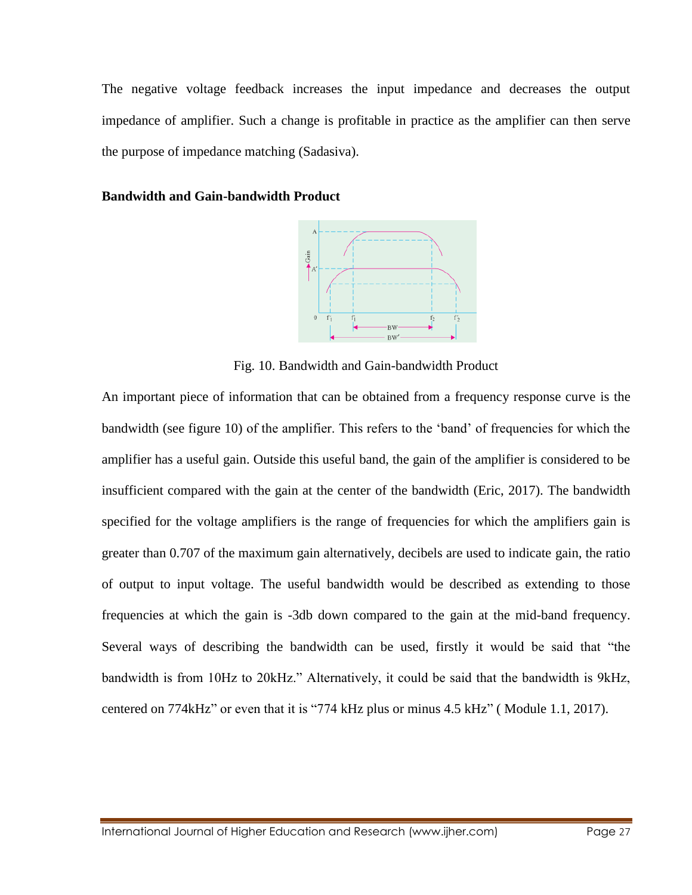The negative voltage feedback increases the input impedance and decreases the output impedance of amplifier. Such a change is profitable in practice as the amplifier can then serve the purpose of impedance matching (Sadasiva).

### **Bandwidth and Gain-bandwidth Product**



Fig. 10. Bandwidth and Gain-bandwidth Product

An important piece of information that can be obtained from a frequency response curve is the bandwidth (see figure 10) of the amplifier. This refers to the 'band' of frequencies for which the amplifier has a useful gain. Outside this useful band, the gain of the amplifier is considered to be insufficient compared with the gain at the center of the bandwidth (Eric, 2017). The bandwidth specified for the voltage amplifiers is the range of frequencies for which the amplifiers gain is greater than 0.707 of the maximum gain alternatively, decibels are used to indicate gain, the ratio of output to input voltage. The useful bandwidth would be described as extending to those frequencies at which the gain is -3db down compared to the gain at the mid-band frequency. Several ways of describing the bandwidth can be used, firstly it would be said that "the bandwidth is from 10Hz to 20kHz." Alternatively, it could be said that the bandwidth is 9kHz, centered on 774kHz" or even that it is "774 kHz plus or minus 4.5 kHz" ( Module 1.1, 2017).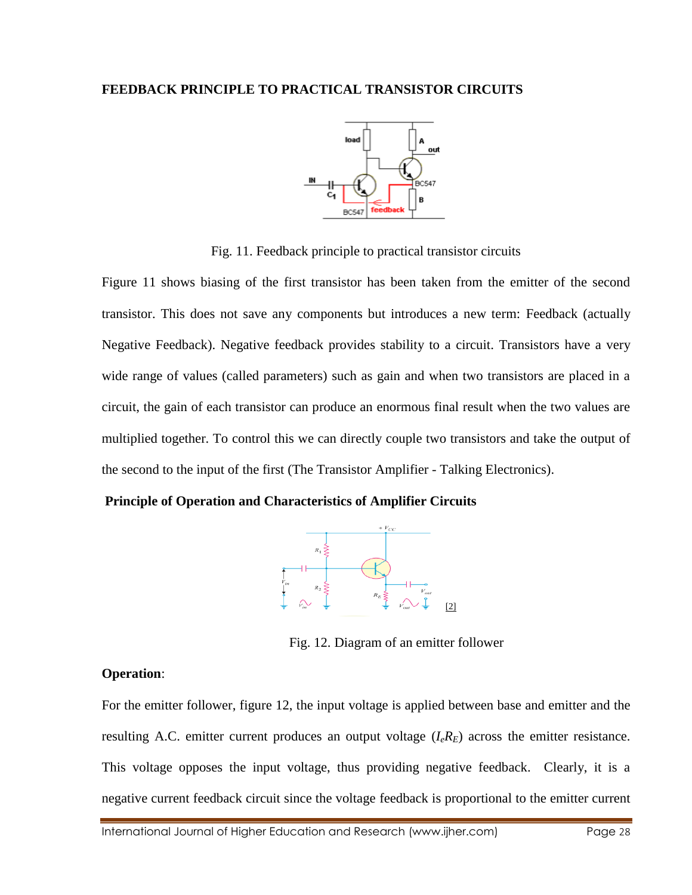

Fig. 11. Feedback principle to practical transistor circuits

Figure 11 shows biasing of the first transistor has been taken from the emitter of the second transistor. This does not save any components but introduces a new term: Feedback (actually Negative Feedback). Negative feedback provides stability to a circuit. Transistors have a very wide range of values (called parameters) such as gain and when two transistors are placed in a circuit, the gain of each transistor can produce an enormous final result when the two values are multiplied together. To control this we can directly couple two transistors and take the output of the second to the input of the first (The Transistor Amplifier - Talking Electronics).

**Principle of Operation and Characteristics of Amplifier Circuits**



Fig. 12. Diagram of an emitter follower

# **Operation**:

For the emitter follower, figure 12, the input voltage is applied between base and emitter and the resulting A.C. emitter current produces an output voltage  $(I_e R_E)$  across the emitter resistance. This voltage opposes the input voltage, thus providing negative feedback. Clearly, it is a negative current feedback circuit since the voltage feedback is proportional to the emitter current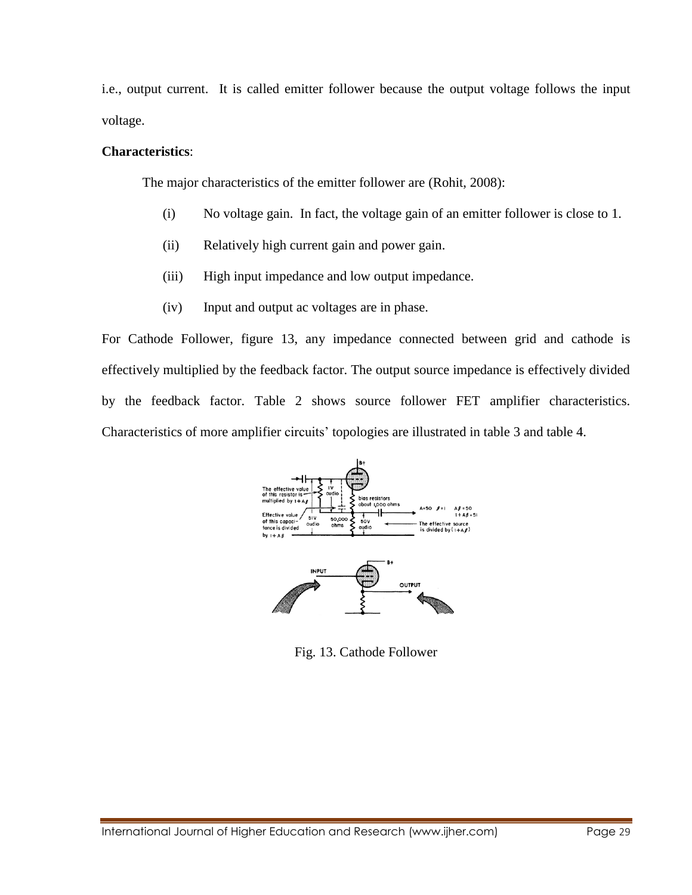i.e., output current. It is called emitter follower because the output voltage follows the input voltage.

# **Characteristics**:

The major characteristics of the emitter follower are (Rohit, 2008):

- (i) No voltage gain. In fact, the voltage gain of an emitter follower is close to 1.
- (ii) Relatively high current gain and power gain.
- (iii) High input impedance and low output impedance.
- (iv) Input and output ac voltages are in phase.

For Cathode Follower, figure 13, any impedance connected between grid and cathode is effectively multiplied by the feedback factor. The output source impedance is effectively divided by the feedback factor. Table 2 shows source follower FET amplifier characteristics. Characteristics of more amplifier circuits' topologies are illustrated in table 3 and table 4.



Fig. 13. Cathode Follower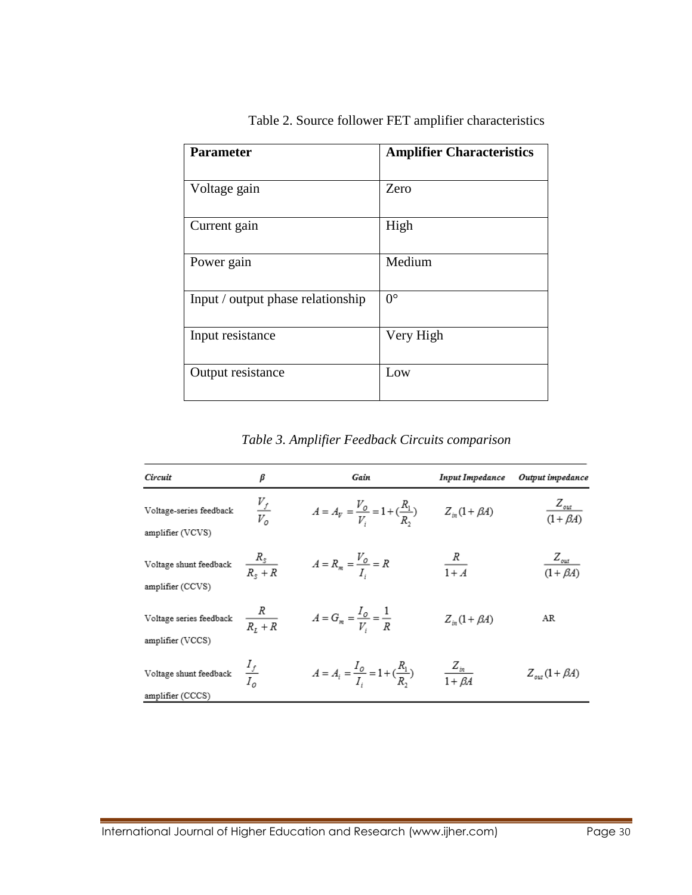| <b>Parameter</b>                  | <b>Amplifier Characteristics</b> |
|-----------------------------------|----------------------------------|
| Voltage gain                      | Zero                             |
| Current gain                      | High                             |
| Power gain                        | Medium                           |
| Input / output phase relationship | $0^{\circ}$                      |
| Input resistance                  | Very High                        |
| Output resistance                 | Low                              |

Table 2. Source follower FET amplifier characteristics

*Table 3. Amplifier Feedback Circuits comparison*

| Circuit                                     | β                   | Gain                                                | <b>Input Impedance</b>     | Output impedance                          |
|---------------------------------------------|---------------------|-----------------------------------------------------|----------------------------|-------------------------------------------|
| Voltage-series feedback<br>amplifier (VCVS) | $\frac{V_f}{V_o}$   | $A = A_V = \frac{V_O}{V_I} = 1 + (\frac{R_1}{R_2})$ | $Z_{in}(1+\beta A)$        | $Z_{\textit{\tiny out}}$<br>$(1+\beta A)$ |
| Voltage shunt feedback<br>amplifier (CCVS)  | $\frac{R_s}{R_s+R}$ | $A=R_m=\frac{V_0}{I_i}=R$                           | $\frac{R}{1+A}$            | $Z_{out}$<br>$(1 + \beta A)$              |
| Voltage series feedback<br>amplifier (VCCS) | $rac{R}{R_t+R}$     | $A = G_m = \frac{I_o}{V_i} = \frac{1}{R}$           | $Z_{in}(1+\beta A)$        | AR                                        |
| Voltage shunt feedback<br>amplifier (CCCS)  | $rac{I_f}{I_o}$     | $A = A_i = \frac{I_0}{I_1} = 1 + (\frac{R_1}{R_2})$ | $\frac{Z_{in}}{1+\beta A}$ | $Z_{\text{out}}(1+\beta A)$               |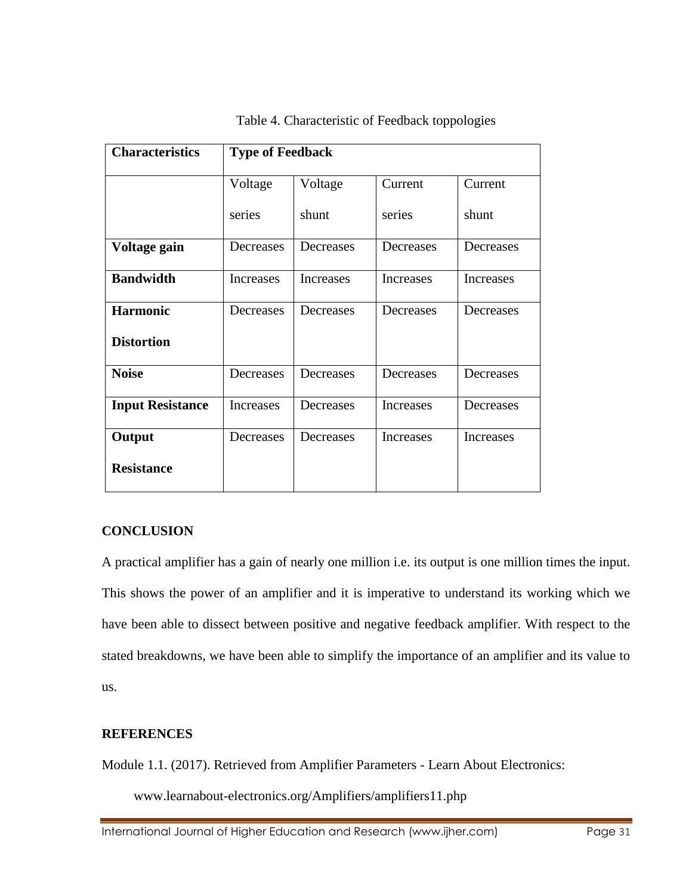| <b>Characteristics</b>  | <b>Type of Feedback</b> |           |           |           |  |
|-------------------------|-------------------------|-----------|-----------|-----------|--|
|                         | Voltage                 | Voltage   | Current   | Current   |  |
|                         | series                  | shunt     | series    | shunt     |  |
| Voltage gain            | Decreases               | Decreases | Decreases | Decreases |  |
| <b>Bandwidth</b>        | <b>Increases</b>        | Increases | Increases | Increases |  |
| <b>Harmonic</b>         | Decreases               | Decreases | Decreases | Decreases |  |
| <b>Distortion</b>       |                         |           |           |           |  |
| <b>Noise</b>            | Decreases               | Decreases | Decreases | Decreases |  |
| <b>Input Resistance</b> | <b>Increases</b>        | Decreases | Increases | Decreases |  |
| Output                  | Decreases               | Decreases | Increases | Increases |  |
| <b>Resistance</b>       |                         |           |           |           |  |

# Table 4. Characteristic of Feedback toppologies

## **CONCLUSION**

A practical amplifier has a gain of nearly one million i.e. its output is one million times the input. This shows the power of an amplifier and it is imperative to understand its working which we have been able to dissect between positive and negative feedback amplifier. With respect to the stated breakdowns, we have been able to simplify the importance of an amplifier and its value to us.

## **REFERENCES**

Module 1.1. (2017). Retrieved from Amplifier Parameters - Learn About Electronics:

www.learnabout-electronics.org/Amplifiers/amplifiers11.php